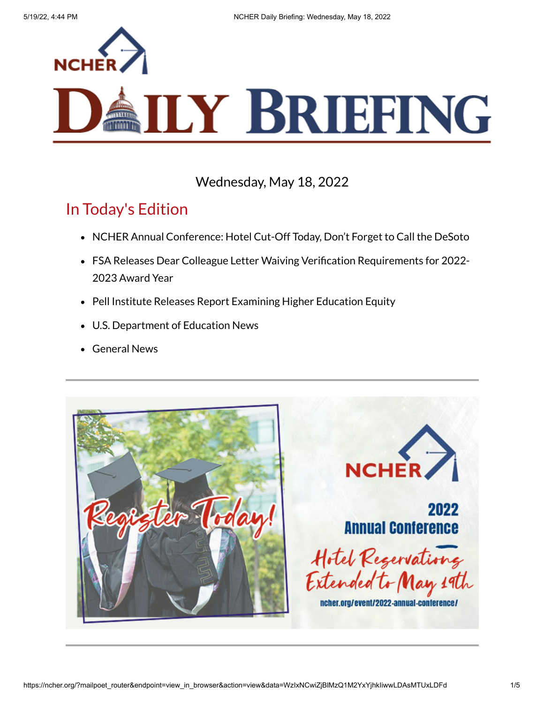

# **ILY BRIEFING**

#### Wednesday, May 18, 2022

### In Today's Edition

- NCHER Annual Conference: Hotel Cut-Off Today, Don't Forget to Call the DeSoto
- FSA Releases Dear Colleague Letter Waiving Verification Requirements for 2022- 2023 Award Year
- Pell Institute Releases Report Examining Higher Education Equity
- U.S. Department of Education News
- General News

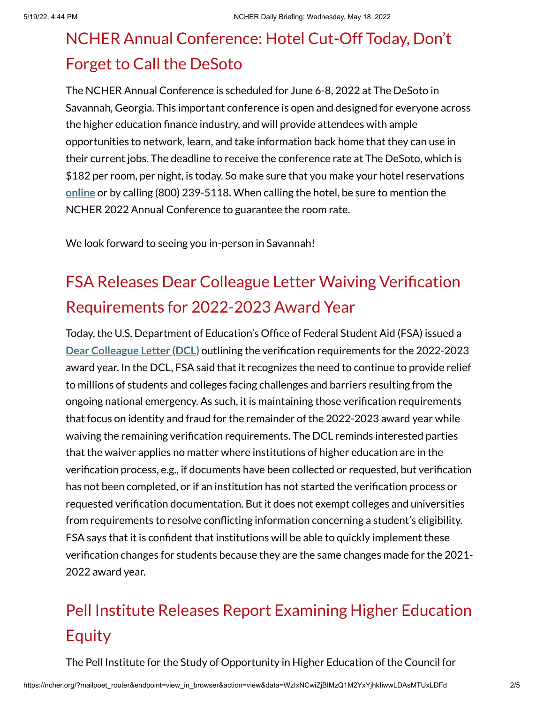## NCHER Annual Conference: Hotel Cut-Off Today, Don't Forget to Call the DeSoto

The NCHER Annual Conference is scheduled for June 6-8, 2022 at The DeSoto in Savannah, Georgia. This important conference is open and designed for everyone across the higher education finance industry, and will provide attendees with ample opportunities to network, learn, and take information back home that they can use in their current jobs. The deadline to receive the conference rate at The DeSoto, which is \$182 per room, per night, is today. So make sure that you make your hotel reservations **[online](https://urldefense.com/v3/__https:/be.synxis.com/?adult=1&arrive=2022-06-04&chain=10237&child=0&config=SAVTD¤cy=USD&depart=2022-06-09&group=CER&hotel=76327&level=hotel&locale=en-US&rooms=1&theme=SAVTD__;!!I2XIyG2ANlwasLbx!FbqNKWm39AHxTIpIJihjjLtf51lWt0PTTPUC9yWKqU8Zoekn3i3jHXGlDW5wk2eNf-uV$)** or by calling (800) 239-5118. When calling the hotel, be sure to mention the NCHER 2022 Annual Conference to guarantee the room rate.

We look forward to seeing you in-person in Savannah!

## FSA Releases Dear Colleague Letter Waiving Verification Requirements for 2022-2023 Award Year

Today, the U.S. Department of Education's Office of Federal Student Aid (FSA) issued a **Dear [Colleague](https://fsapartners.ed.gov/knowledge-center/library/dear-colleague-letters/2022-05-18/changes-2022-2023-verification-requirements) Letter (DCL)** outlining the verification requirements for the 2022-2023 award year. In the DCL, FSA said that it recognizes the need to continue to provide relief to millions of students and colleges facing challenges and barriers resulting from the ongoing national emergency. As such, it is maintaining those verification requirements that focus on identity and fraud for the remainder of the 2022-2023 award year while waiving the remaining verification requirements. The DCL reminds interested parties that the waiver applies no matter where institutions of higher education are in the verification process, e.g., if documents have been collected or requested, but verification has not been completed, or if an institution has not started the verification process or requested verification documentation. But it does not exempt colleges and universities from requirements to resolve conflicting information concerning a student's eligibility. FSA says that it is confident that institutions will be able to quickly implement these verification changes for students because they are the same changes made for the 2021- 2022 award year.

## Pell Institute Releases Report Examining Higher Education Equity

The Pell Institute for the Study of Opportunity in Higher Education of the Council for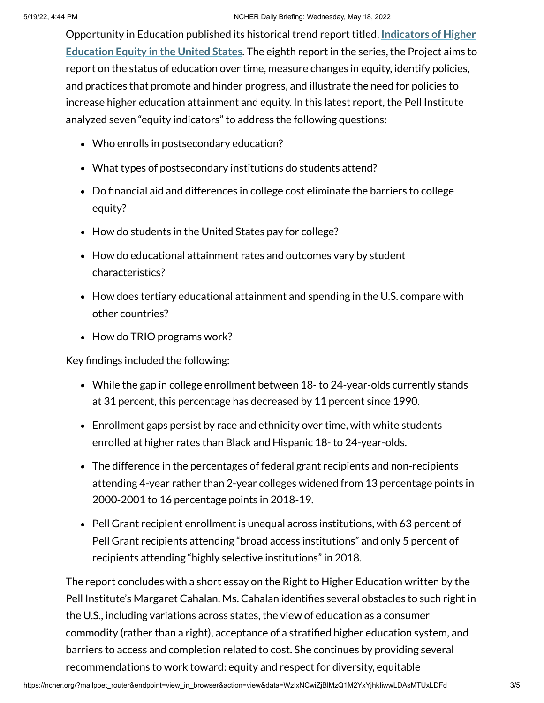Opportunity in Education [published its](http://pellinstitute.org/downloads/publications-Indicators_of_Higher_Education_Equity_in_the_US_2022_Historical_Trend_Report.pdf) historical trend report titled, **Indicators of Higher Education Equity in the United States**. The eighth report in the series, the Project aims to report on the status of education over time, measure changes in equity, identify policies, and practices that promote and hinder progress, and illustrate the need for policies to increase higher education attainment and equity. In this latest report, the Pell Institute analyzed seven "equity indicators" to address the following questions:

- Who enrolls in postsecondary education?
- What types of postsecondary institutions do students attend?
- Do financial aid and differences in college cost eliminate the barriers to college equity?
- How do students in the United States pay for college?
- How do educational attainment rates and outcomes vary by student characteristics?
- How does tertiary educational attainment and spending in the U.S. compare with other countries?
- How do TRIO programs work?

Key findings included the following:

- While the gap in college enrollment between 18- to 24-year-olds currently stands at 31 percent, this percentage has decreased by 11 percent since 1990.
- Enrollment gaps persist by race and ethnicity over time, with white students enrolled at higher rates than Black and Hispanic 18- to 24-year-olds.
- The difference in the percentages of federal grant recipients and non-recipients attending 4-year rather than 2-year colleges widened from 13 percentage points in 2000-2001 to 16 percentage points in 2018-19.
- Pell Grant recipient enrollment is unequal across institutions, with 63 percent of Pell Grant recipients attending "broad access institutions" and only 5 percent of recipients attending "highly selective institutions" in 2018.

The report concludes with a short essay on the Right to Higher Education written by the Pell Institute's Margaret Cahalan. Ms. Cahalan identifies several obstacles to such right in the U.S., including variations across states, the view of education as a consumer commodity (rather than a right), acceptance of a stratified higher education system, and barriers to access and completion related to cost. She continues by providing several recommendations to work toward: equity and respect for diversity, equitable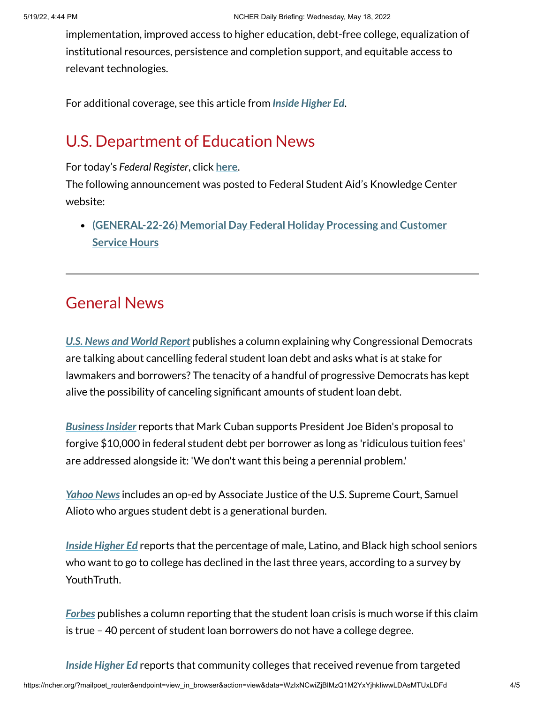implementation, improved access to higher education, debt-free college, equalization of institutional resources, persistence and completion support, and equitable access to relevant technologies.

For additional coverage, see this article from *Inside [Higher](https://www.insidehighered.com/quicktakes/2022/05/18/student-debt-gap-still-growing?utm_source=Inside+Higher+Ed&utm_campaign=3978813720-DNU_2021_COPY_02&utm_medium=email&utm_term=0_1fcbc04421-3978813720-236552422&mc_cid=3978813720&mc_eid=d5316f744d) Ed*.

#### U.S. Department of Education News

For today's *Federal Register*, click **[here](https://www.federalregister.gov/documents/current)**.

The following announcement was posted to Federal Student Aid's Knowledge Center website:

**[\(GENERAL-22-26\)](https://fsapartners.ed.gov/knowledge-center/library/electronic-announcements/2022-05-18/memorial-day-federal-holiday-processing-and-customer-service-hours) Memorial Day Federal Holiday Processing and Customer Service Hours**

#### General News

*U.S. News and World [Report](https://www.usnews.com/news/education-news/articles/explainer-why-are-democrats-talking-about-canceling-student-loan-debt)* publishes a column explaining why Congressional Democrats are talking about cancelling federal student loan debt and asks what is at stake for lawmakers and borrowers? The tenacity of a handful of progressive Democrats has kept alive the possibility of canceling significant amounts of student loan debt.

**Business Insider reports that Mark Cuban supports President Joe Biden's proposal to** forgive \$10,000 in federal student debt per borrower as long as 'ridiculous tuition fees' are addressed alongside it: 'We don't want this being a perennial problem.'

*[Yahoo](https://news.yahoo.com/editorial-student-debt-generational-burden-111800180.html) News*includes an op-ed by Associate Justice of the U.S. Supreme Court, Samuel Alioto who argues student debt is a generational burden.

*Inside [Higher](https://www.insidehighered.com/admissions/article/2022/05/18/male-black-and-latino-high-school-students-may-not-be-college-bound?utm_source=Inside+Higher+Ed&utm_campaign=3978813720-DNU_2021_COPY_02&utm_medium=email&utm_term=0_1fcbc04421-3978813720-236552422&mc_cid=3978813720&mc_eid=d5316f744d) Ed* reports that the percentage of male, Latino, and Black high school seniors who want to go to college has declined in the last three years, according to a survey by YouthTruth.

*[Forbes](https://www.forbes.com/sites/zackfriedman/2022/05/18/the-student-loan-crisis-is-much-worse-if-this-claim-is-true/?sh=4831a924669f)* publishes a column reporting that the student loan crisis is much worse if this claim is true – 40 percent of student loan borrowers do not have a college degree.

*Inside [Higher](https://www.insidehighered.com/quicktakes/2022/05/18/study-promise-programs-affect-college-spending?utm_source=Inside+Higher+Ed&utm_campaign=3978813720-DNU_2021_COPY_02&utm_medium=email&utm_term=0_1fcbc04421-3978813720-236552422&mc_cid=3978813720&mc_eid=d5316f744d) Ed* reports that community colleges that received revenue from targeted